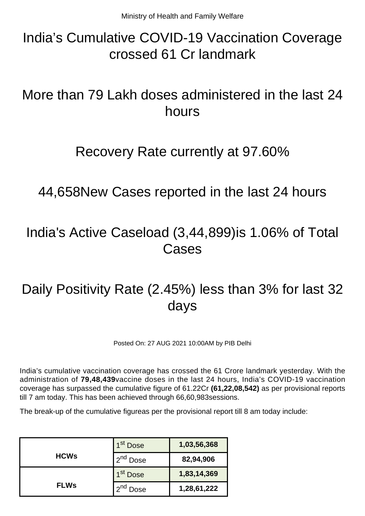# India's Cumulative COVID-19 Vaccination Coverage crossed 61 Cr landmark

# More than 79 Lakh doses administered in the last 24 hours

### Recovery Rate currently at 97.60%

44,658New Cases reported in the last 24 hours

## India's Active Caseload (3,44,899)is 1.06% of Total Cases

# Daily Positivity Rate (2.45%) less than 3% for last 32 days

Posted On: 27 AUG 2021 10:00AM by PIB Delhi

India's cumulative vaccination coverage has crossed the 61 Crore landmark yesterday. With the administration of **79,48,439**vaccine doses in the last 24 hours, India's COVID-19 vaccination coverage has surpassed the cumulative figure of 61.22Cr **(61,22,08,542)** as per provisional reports till 7 am today. This has been achieved through 66,60,983sessions.

The break-up of the cumulative figureas per the provisional report till 8 am today include:

|             | 1 <sup>st</sup> Dose | 1,03,56,368 |
|-------------|----------------------|-------------|
| <b>HCWs</b> | 2 <sup>nd</sup> Dose | 82,94,906   |
|             | 1 <sup>st</sup> Dose | 1,83,14,369 |
| <b>FLWs</b> | $\gamma$ na<br>Dose  | 1,28,61,222 |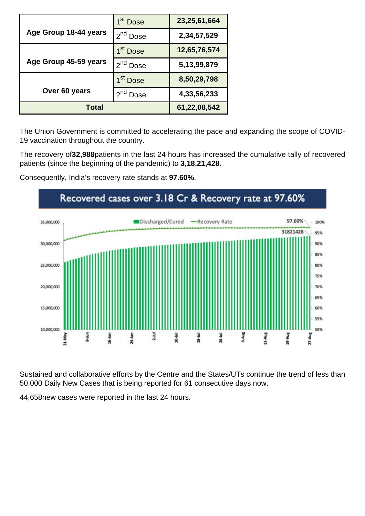|                       | 1 <sup>st</sup> Dose | 23,25,61,664 |
|-----------------------|----------------------|--------------|
| Age Group 18-44 years | 2 <sup>nd</sup> Dose | 2,34,57,529  |
|                       | 1 <sup>st</sup> Dose | 12,65,76,574 |
| Age Group 45-59 years | 2 <sup>nd</sup> Dose | 5,13,99,879  |
|                       | 1 <sup>st</sup> Dose | 8,50,29,798  |
| Over 60 years         | $2nd$ Dose           | 4,33,56,233  |
| Total                 |                      | 61,22,08,542 |

The Union Government is committed to accelerating the pace and expanding the scope of COVID-19 vaccination throughout the country.

The recovery of**32,988**patients in the last 24 hours has increased the cumulative tally of recovered patients (since the beginning of the pandemic) to **3,18,21,428.**

Consequently, India's recovery rate stands at **97.60%**.



Sustained and collaborative efforts by the Centre and the States/UTs continue the trend of less than 50,000 Daily New Cases that is being reported for 61 consecutive days now.

44,658new cases were reported in the last 24 hours.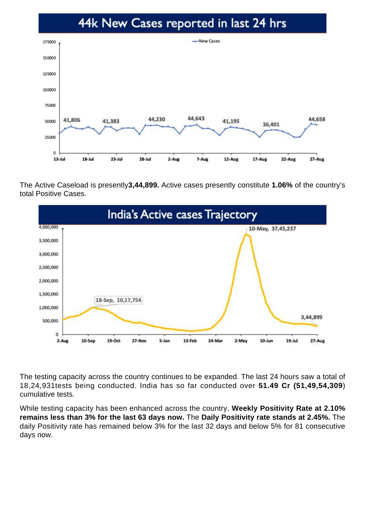#### 44k New Cases reported in last 24 hrs



The Active Caseload is presently**3,44,899.** Active cases presently constitute **1.06%** of the country's total Positive Cases.



The testing capacity across the country continues to be expanded. The last 24 hours saw a total of 18,24,931tests being conducted. India has so far conducted over **51.49 Cr (51,49,54,309**) cumulative tests.

While testing capacity has been enhanced across the country, **Weekly Positivity Rate at 2.10% remains less than 3% for the last 63 days now.** The **Daily Positivity rate stands at 2.45%.** The daily Positivity rate has remained below 3% for the last 32 days and below 5% for 81 consecutive days now.